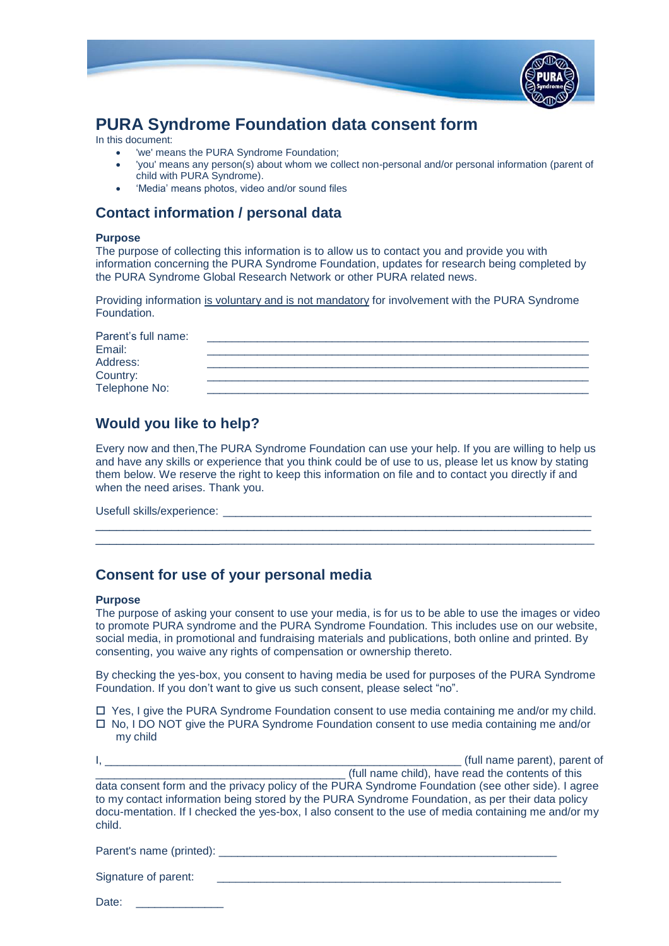

# **PURA Syndrome Foundation data consent form**

In this document:

- 'we' means the PURA Syndrome Foundation;
- 'you' means any person(s) about whom we collect non-personal and/or personal information (parent of child with PURA Syndrome).
- 'Media' means photos, video and/or sound files

### **Contact information / personal data**

#### **Purpose**

The purpose of collecting this information is to allow us to contact you and provide you with information concerning the PURA Syndrome Foundation, updates for research being completed by the PURA Syndrome Global Research Network or other PURA related news.

Providing information is voluntary and is not mandatory for involvement with the PURA Syndrome Foundation.

| Parent's full name:       |  |
|---------------------------|--|
| Email:                    |  |
| Address:                  |  |
|                           |  |
| Country:<br>Telephone No: |  |

## **Would you like to help?**

Every now and then,The PURA Syndrome Foundation can use your help. If you are willing to help us and have any skills or experience that you think could be of use to us, please let us know by stating them below. We reserve the right to keep this information on file and to contact you directly if and when the need arises. Thank you.

\_\_\_\_\_\_\_\_\_\_\_\_\_\_\_\_\_\_\_\_\_\_\_\_\_\_\_\_\_\_\_\_\_\_\_\_\_\_\_\_\_\_\_\_\_\_\_\_\_\_\_\_\_\_\_\_\_\_\_\_\_\_\_\_\_\_\_\_\_\_\_\_ \_\_\_\_\_\_\_\_\_\_\_\_\_\_\_\_\_\_\_\_\_\_\_\_\_\_\_\_\_\_\_\_\_\_\_\_\_\_\_\_\_\_\_\_\_\_\_\_\_\_\_\_\_\_\_\_\_\_\_\_\_\_\_\_\_\_\_\_\_\_\_\_\_\_\_\_\_\_

Usefull skills/experience: \_\_\_\_\_\_\_\_\_\_\_\_\_\_\_\_\_\_\_\_\_\_\_\_\_\_\_\_\_\_\_\_\_\_\_\_\_\_\_\_\_\_\_\_\_\_\_\_\_\_\_\_\_\_\_\_\_\_\_

## **Consent for use of your personal media**

### **Purpose**

The purpose of asking your consent to use your media, is for us to be able to use the images or video to promote PURA syndrome and the PURA Syndrome Foundation. This includes use on our website, social media, in promotional and fundraising materials and publications, both online and printed. By consenting, you waive any rights of compensation or ownership thereto.

By checking the yes-box, you consent to having media be used for purposes of the PURA Syndrome Foundation. If you don't want to give us such consent, please select "no".

 $\Box$  Yes, I give the PURA Syndrome Foundation consent to use media containing me and/or my child.  $\Box$  No, I DO NOT give the PURA Syndrome Foundation consent to use media containing me and/or my child

|                                                                                                                                                                                                                                                                                                                          | (full name parent), parent of                     |
|--------------------------------------------------------------------------------------------------------------------------------------------------------------------------------------------------------------------------------------------------------------------------------------------------------------------------|---------------------------------------------------|
|                                                                                                                                                                                                                                                                                                                          | (full name child), have read the contents of this |
| data consent form and the privacy policy of the PURA Syndrome Foundation (see other side). I agree<br>to my contact information being stored by the PURA Syndrome Foundation, as per their data policy<br>docu-mentation. If I checked the yes-box, I also consent to the use of media containing me and/or my<br>child. |                                                   |
|                                                                                                                                                                                                                                                                                                                          |                                                   |

Parent's name (printed): \_\_\_\_\_\_\_\_\_\_\_\_\_\_\_\_\_\_\_\_\_\_\_\_\_\_\_\_\_\_\_\_\_\_\_\_\_\_\_\_\_\_\_\_\_\_\_\_\_\_\_\_\_\_

| Signature of parent: |  |  |
|----------------------|--|--|
|                      |  |  |

Date: